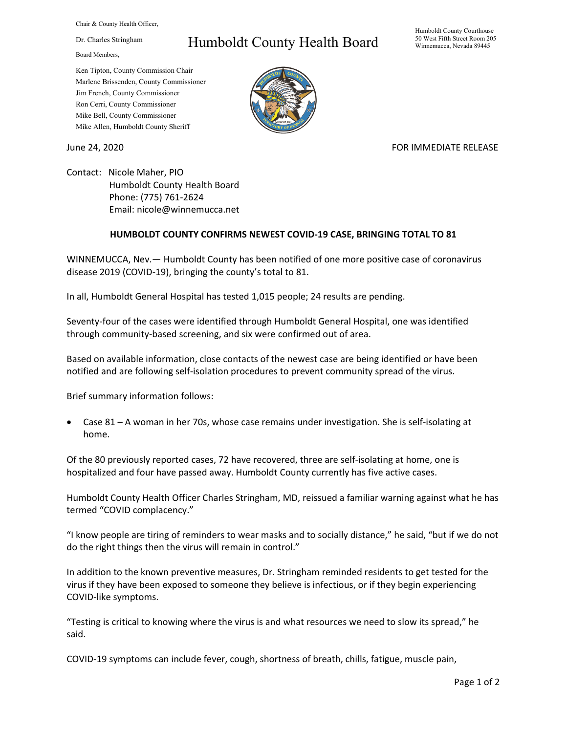Chair & County Health Officer,

Dr. Charles Stringham

Board Members,

## Humboldt County Health Board

Humboldt County Courthouse 50 West Fifth Street Room 205 Winnemucca, Nevada 89445

Ken Tipton, County Commission Chair Marlene Brissenden, County Commissioner Jim French, County Commissioner Ron Cerri, County Commissioner Mike Bell, County Commissioner Mike Allen, Humboldt County Sheriff

June 24, 2020 **FOR IMMEDIATE RELEASE** 

Contact: Nicole Maher, PIO Humboldt County Health Board Phone: (775) 761-2624 Email: nicole@winnemucca.net

## **HUMBOLDT COUNTY CONFIRMS NEWEST COVID-19 CASE, BRINGING TOTAL TO 81**

WINNEMUCCA, Nev.— Humboldt County has been notified of one more positive case of coronavirus disease 2019 (COVID-19), bringing the county's total to 81.

In all, Humboldt General Hospital has tested 1,015 people; 24 results are pending.

Seventy-four of the cases were identified through Humboldt General Hospital, one was identified through community-based screening, and six were confirmed out of area.

Based on available information, close contacts of the newest case are being identified or have been notified and are following self-isolation procedures to prevent community spread of the virus.

Brief summary information follows:

• Case 81 – A woman in her 70s, whose case remains under investigation. She is self-isolating at home.

Of the 80 previously reported cases, 72 have recovered, three are self-isolating at home, one is hospitalized and four have passed away. Humboldt County currently has five active cases.

Humboldt County Health Officer Charles Stringham, MD, reissued a familiar warning against what he has termed "COVID complacency."

"I know people are tiring of reminders to wear masks and to socially distance," he said, "but if we do not do the right things then the virus will remain in control."

In addition to the known preventive measures, Dr. Stringham reminded residents to get tested for the virus if they have been exposed to someone they believe is infectious, or if they begin experiencing COVID-like symptoms.

"Testing is critical to knowing where the virus is and what resources we need to slow its spread," he said.

COVID-19 symptoms can include fever, cough, shortness of breath, chills, fatigue, muscle pain,